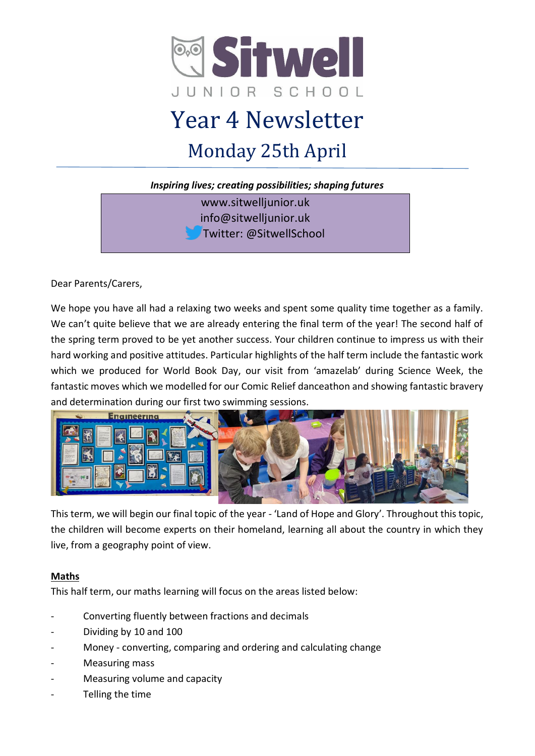

# Year 4 Newsletter Monday 25th April

*Inspiring lives; creating possibilities; shaping futures*

www.sitwelljunior.uk info@sitwelljunior.uk Twitter: @SitwellSchool

Dear Parents/Carers,

We hope you have all had a relaxing two weeks and spent some quality time together as a family. We can't quite believe that we are already entering the final term of the year! The second half of the spring term proved to be yet another success. Your children continue to impress us with their hard working and positive attitudes. Particular highlights of the half term include the fantastic work which we produced for World Book Day, our visit from 'amazelab' during Science Week, the fantastic moves which we modelled for our Comic Relief danceathon and showing fantastic bravery and determination during our first two swimming sessions.



This term, we will begin our final topic of the year - 'Land of Hope and Glory'. Throughout this topic, the children will become experts on their homeland, learning all about the country in which they live, from a geography point of view.

### **Maths**

This half term, our maths learning will focus on the areas listed below:

- Converting fluently between fractions and decimals
- Dividing by 10 and 100
- Money converting, comparing and ordering and calculating change
- Measuring mass
- Measuring volume and capacity
- Telling the time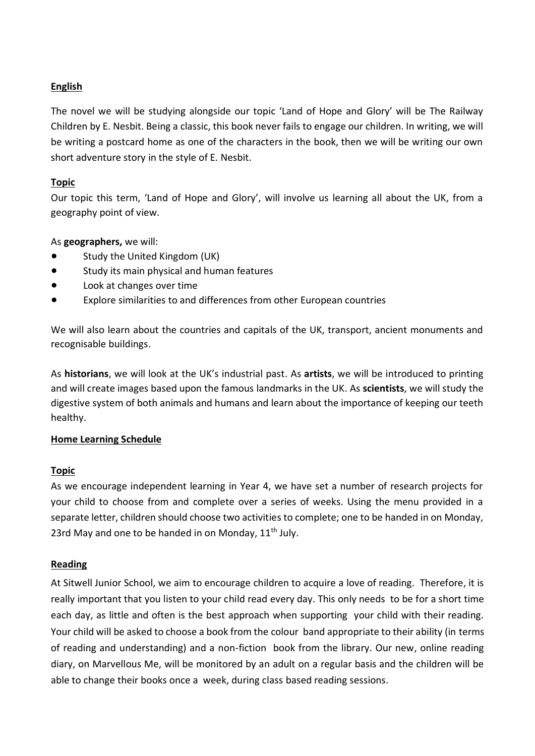### **English**

The novel we will be studying alongside our topic 'Land of Hope and Glory' will be The Railway Children by E. Nesbit. Being a classic, this book never fails to engage our children. In writing, we will be writing a postcard home as one of the characters in the book, then we will be writing our own short adventure story in the style of E. Nesbit.

### **Topic**

Our topic this term, 'Land of Hope and Glory', will involve us learning all about the UK, from a geography point of view.

#### As **geographers,** we will:

- Study the United Kingdom (UK)
- Study its main physical and human features
- Look at changes over time
- Explore similarities to and differences from other European countries

We will also learn about the countries and capitals of the UK, transport, ancient monuments and recognisable buildings.

As **historians**, we will look at the UK's industrial past. As **artists**, we will be introduced to printing and will create images based upon the famous landmarks in the UK. As **scientists**, we will study the digestive system of both animals and humans and learn about the importance of keeping our teeth healthy.

### **Home Learning Schedule**

### **Topic**

As we encourage independent learning in Year 4, we have set a number of research projects for your child to choose from and complete over a series of weeks. Using the menu provided in a separate letter, children should choose two activities to complete; one to be handed in on Monday, 23rd May and one to be handed in on Monday, 11<sup>th</sup> July.

#### **Reading**

At Sitwell Junior School, we aim to encourage children to acquire a love of reading. Therefore, it is really important that you listen to your child read every day. This only needs to be for a short time each day, as little and often is the best approach when supporting your child with their reading. Your child will be asked to choose a book from the colour band appropriate to their ability (in terms of reading and understanding) and a non-fiction book from the library. Our new, online reading diary, on Marvellous Me, will be monitored by an adult on a regular basis and the children will be able to change their books once a week, during class based reading sessions.